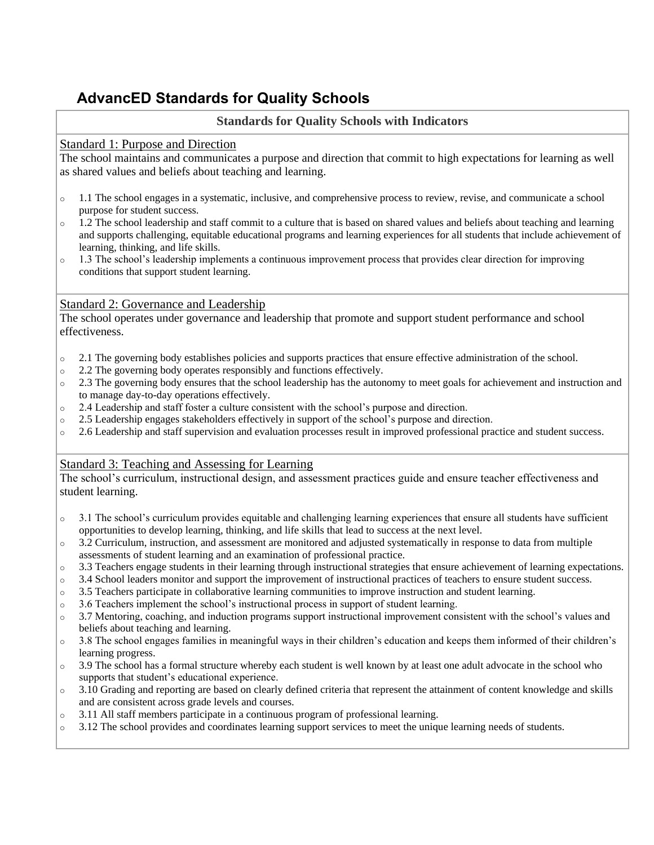# **AdvancED Standards for Quality Schools**

# **Standards for Quality Schools with Indicators**

### Standard 1: Purpose and Direction

The school maintains and communicates a purpose and direction that commit to high expectations for learning as well as shared values and beliefs about teaching and learning.

- $\circ$  1.1 The school engages in a systematic, inclusive, and comprehensive process to review, revise, and communicate a school purpose for student success.
- $\circ$  1.2 The school leadership and staff commit to a culture that is based on shared values and beliefs about teaching and learning and supports challenging, equitable educational programs and learning experiences for all students that include achievement of learning, thinking, and life skills.
- o 1.3 The school's leadership implements a continuous improvement process that provides clear direction for improving conditions that support student learning.

### Standard 2: Governance and Leadership

The school operates under governance and leadership that promote and support student performance and school effectiveness.

- o 2.1 The governing body establishes policies and supports practices that ensure effective administration of the school.
- o 2.2 The governing body operates responsibly and functions effectively.
- o 2.3 The governing body ensures that the school leadership has the autonomy to meet goals for achievement and instruction and to manage day-to-day operations effectively.
- $\circ$  2.4 Leadership and staff foster a culture consistent with the school's purpose and direction.
- o 2.5 Leadership engages stakeholders effectively in support of the school's purpose and direction.
- o 2.6 Leadership and staff supervision and evaluation processes result in improved professional practice and student success.

## Standard 3: Teaching and Assessing for Learning

The school's curriculum, instructional design, and assessment practices guide and ensure teacher effectiveness and student learning.

- $\circ$  3.1 The school's curriculum provides equitable and challenging learning experiences that ensure all students have sufficient opportunities to develop learning, thinking, and life skills that lead to success at the next level.
- $\circ$  3.2 Curriculum, instruction, and assessment are monitored and adjusted systematically in response to data from multiple assessments of student learning and an examination of professional practice.
- $\circ$  3.3 Teachers engage students in their learning through instructional strategies that ensure achievement of learning expectations.
- o 3.4 School leaders monitor and support the improvement of instructional practices of teachers to ensure student success.
- o 3.5 Teachers participate in collaborative learning communities to improve instruction and student learning.
- o 3.6 Teachers implement the school's instructional process in support of student learning.
- o 3.7 Mentoring, coaching, and induction programs support instructional improvement consistent with the school's values and beliefs about teaching and learning.
- $\circ$  3.8 The school engages families in meaningful ways in their children's education and keeps them informed of their children's learning progress.
- o 3.9 The school has a formal structure whereby each student is well known by at least one adult advocate in the school who supports that student's educational experience.
- $\circ$  3.10 Grading and reporting are based on clearly defined criteria that represent the attainment of content knowledge and skills and are consistent across grade levels and courses.
- o 3.11 All staff members participate in a continuous program of professional learning.
- $\circ$  3.12 The school provides and coordinates learning support services to meet the unique learning needs of students.